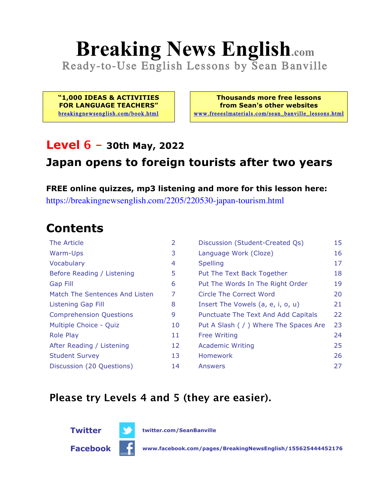# **Breaking News English.com**

Ready-to-Use English Lessons by Sean Banville

**"1,000 IDEAS & ACTIVITIES FOR LANGUAGE TEACHERS"** breakingnewsenglish.com/book.html

**Thousands more free lessons from Sean's other websites** www.freeeslmaterials.com/sean\_banville\_lessons.html

#### **Level 6 - 30th May, 2022**

#### **Japan opens to foreign tourists after two years**

**FREE online quizzes, mp3 listening and more for this lesson here:** https://breakingnewsenglish.com/2205/220530-japan-tourism.html

### **Contents**

| The Article                    | 2  | Discussion (Student-Created Qs)        | 15 |
|--------------------------------|----|----------------------------------------|----|
| Warm-Ups                       | 3  | Language Work (Cloze)                  | 16 |
| Vocabulary                     | 4  | <b>Spelling</b>                        | 17 |
| Before Reading / Listening     | 5  | Put The Text Back Together             | 18 |
| <b>Gap Fill</b>                | 6  | Put The Words In The Right Order       | 19 |
| Match The Sentences And Listen | 7  | Circle The Correct Word                | 20 |
| Listening Gap Fill             | 8  | Insert The Vowels (a, e, i, o, u)      | 21 |
| <b>Comprehension Questions</b> | 9  | Punctuate The Text And Add Capitals    | 22 |
| Multiple Choice - Quiz         | 10 | Put A Slash ( / ) Where The Spaces Are | 23 |
| <b>Role Play</b>               | 11 | <b>Free Writing</b>                    | 24 |
| After Reading / Listening      | 12 | <b>Academic Writing</b>                | 25 |
| <b>Student Survey</b>          | 13 | Homework                               | 26 |
| Discussion (20 Questions)      | 14 | Answers                                | 27 |

#### **Please try Levels 4 and 5 (they are easier).**



**Twitter twitter.com/SeanBanville**

**Facebook www.facebook.com/pages/BreakingNewsEnglish/155625444452176**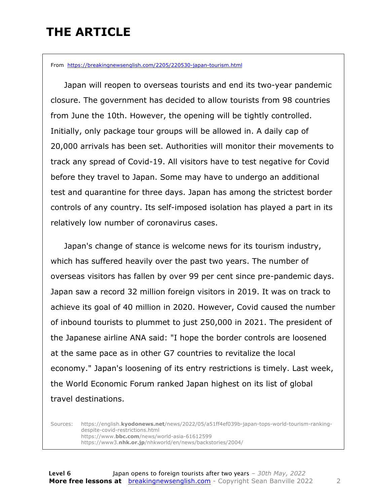### **THE ARTICLE**

From https://breakingnewsenglish.com/2205/220530-japan-tourism.html

 Japan will reopen to overseas tourists and end its two-year pandemic closure. The government has decided to allow tourists from 98 countries from June the 10th. However, the opening will be tightly controlled. Initially, only package tour groups will be allowed in. A daily cap of 20,000 arrivals has been set. Authorities will monitor their movements to track any spread of Covid-19. All visitors have to test negative for Covid before they travel to Japan. Some may have to undergo an additional test and quarantine for three days. Japan has among the strictest border controls of any country. Its self-imposed isolation has played a part in its relatively low number of coronavirus cases.

 Japan's change of stance is welcome news for its tourism industry, which has suffered heavily over the past two years. The number of overseas visitors has fallen by over 99 per cent since pre-pandemic days. Japan saw a record 32 million foreign visitors in 2019. It was on track to achieve its goal of 40 million in 2020. However, Covid caused the number of inbound tourists to plummet to just 250,000 in 2021. The president of the Japanese airline ANA said: "I hope the border controls are loosened at the same pace as in other G7 countries to revitalize the local economy." Japan's loosening of its entry restrictions is timely. Last week, the World Economic Forum ranked Japan highest on its list of global travel destinations.

Sources: https://english.**kyodonews.net**/news/2022/05/a51ff4ef039b-japan-tops-world-tourism-rankingdespite-covid-restrictions.html https://www.**bbc.com**/news/world-asia-61612599 https://www3.**nhk.or.jp**/nhkworld/en/news/backstories/2004/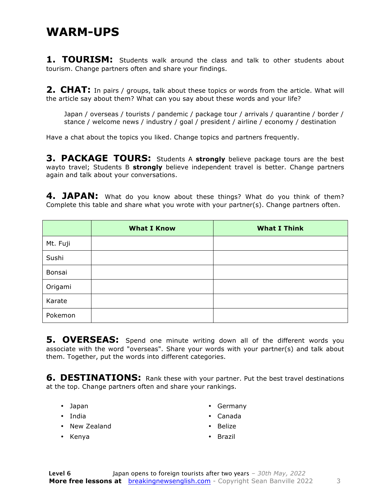#### **WARM-UPS**

**1. TOURISM:** Students walk around the class and talk to other students about tourism. Change partners often and share your findings.

**2. CHAT:** In pairs / groups, talk about these topics or words from the article. What will the article say about them? What can you say about these words and your life?

Japan / overseas / tourists / pandemic / package tour / arrivals / quarantine / border / stance / welcome news / industry / goal / president / airline / economy / destination

Have a chat about the topics you liked. Change topics and partners frequently.

**3. PACKAGE TOURS:** Students A **strongly** believe package tours are the best wayto travel; Students B **strongly** believe independent travel is better. Change partners again and talk about your conversations.

**4. JAPAN:** What do you know about these things? What do you think of them? Complete this table and share what you wrote with your partner(s). Change partners often.

|          | <b>What I Know</b> | <b>What I Think</b> |
|----------|--------------------|---------------------|
| Mt. Fuji |                    |                     |
| Sushi    |                    |                     |
| Bonsai   |                    |                     |
| Origami  |                    |                     |
| Karate   |                    |                     |
| Pokemon  |                    |                     |

**5. OVERSEAS:** Spend one minute writing down all of the different words you associate with the word "overseas". Share your words with your partner(s) and talk about them. Together, put the words into different categories.

**6. DESTINATIONS:** Rank these with your partner. Put the best travel destinations at the top. Change partners often and share your rankings.

- Japan
- India
- New Zealand
- Germany • Canada
- Belize

• Kenya

• Brazil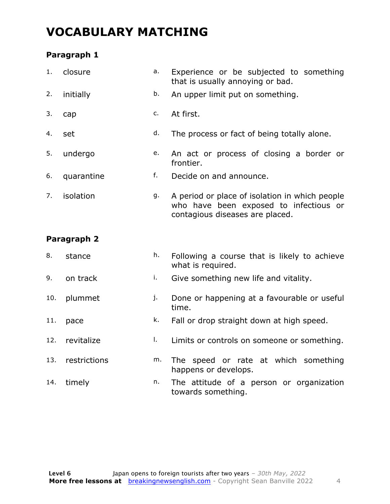### **VOCABULARY MATCHING**

#### **Paragraph 1**

| 1.  | closure     | a. | Experience or be subjected to something<br>that is usually annoying or bad.                                                 |  |  |  |
|-----|-------------|----|-----------------------------------------------------------------------------------------------------------------------------|--|--|--|
| 2.  | initially   | b. | An upper limit put on something.                                                                                            |  |  |  |
| 3.  | cap         | c. | At first.                                                                                                                   |  |  |  |
| 4.  | set         | d. | The process or fact of being totally alone.                                                                                 |  |  |  |
| 5.  | undergo     | e. | An act or process of closing a border or<br>frontier.                                                                       |  |  |  |
| 6.  | quarantine  | f. | Decide on and announce.                                                                                                     |  |  |  |
| 7.  | isolation   | g. | A period or place of isolation in which people<br>who have been exposed to infectious or<br>contagious diseases are placed. |  |  |  |
|     | Paragraph 2 |    |                                                                                                                             |  |  |  |
| 8.  | stance      | h. | Following a course that is likely to achieve<br>what is required.                                                           |  |  |  |
| 9.  | on track    | i. | Give something new life and vitality.                                                                                       |  |  |  |
| 10. | plummet     | j. | Done or happening at a favourable or useful<br>time.                                                                        |  |  |  |

- 11. pace  $k$ . Fall or drop straight down at high speed.
- 12. revitalize **l.** Limits or controls on someone or something.
- 13. restrictions m. The speed or rate at which something happens or develops.
- 14. timely **n.** The attitude of a person or organization towards something.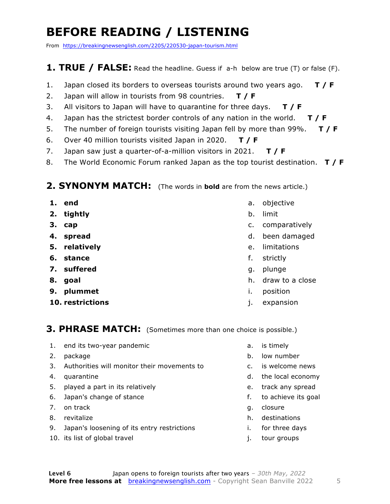### **BEFORE READING / LISTENING**

From https://breakingnewsenglish.com/2205/220530-japan-tourism.html

#### **1. TRUE / FALSE:** Read the headline. Guess if a-h below are true (T) or false (F).

- 1. Japan closed its borders to overseas tourists around two years ago. **T / F**
- 2. Japan will allow in tourists from 98 countries. **T / F**
- 3. All visitors to Japan will have to quarantine for three days. **T / F**
- 4. Japan has the strictest border controls of any nation in the world. **T / F**
- 5. The number of foreign tourists visiting Japan fell by more than 99%. **T / F**
- 6. Over 40 million tourists visited Japan in 2020. **T / F**
- 7. Japan saw just a quarter-of-a-million visitors in 2021. **T / F**
- 8. The World Economic Forum ranked Japan as the top tourist destination. **T / F**

#### **2. SYNONYM MATCH:** (The words in **bold** are from the news article.)

- **1. end**
- **2. tightly**
- **3. cap**
- **4. spread**
- **5. relatively**
- **6. stance**
- **7. suffered**
- **8. goal**
- **9. plummet**
- **10. restrictions**
- a. objective
- b. limit
- c. comparatively
- d. been damaged
- e. limitations
- f. strictly
- g. plunge
- h. draw to a close
- i. position
- j. expansion

#### **3. PHRASE MATCH:** (Sometimes more than one choice is possible.)

- 1. end its two-year pandemic
- 2. package
- 3. Authorities will monitor their movements to
- 4. quarantine
- 5. played a part in its relatively
- 6. Japan's change of stance
- 7. on track
- 8. revitalize
- 9. Japan's loosening of its entry restrictions
- 10. its list of global travel
- a. is timely
- b. low number
- c. is welcome news
- d. the local economy
- e. track any spread
- f. to achieve its goal
- g. closure
- h. destinations
- i. for three days
- j. tour groups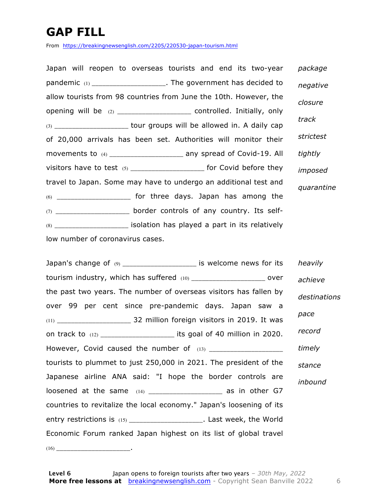### **GAP FILL**

From https://breakingnewsenglish.com/2205/220530-japan-tourism.html

| Japan will reopen to overseas tourists and end its two-year                 | package    |
|-----------------------------------------------------------------------------|------------|
| pandemic (1) _______________________. The government has decided to         | negative   |
| allow tourists from 98 countries from June the 10th. However, the           | closure    |
| opening will be (2) _____________________ controlled. Initially, only       |            |
| (3) _______________________ tour groups will be allowed in. A daily cap     | track      |
| of 20,000 arrivals has been set. Authorities will monitor their             | strictest  |
| movements to (4) ______________________ any spread of Covid-19. All         | tightly    |
| visitors have to test $(5)$ _________________________ for Covid before they | imposed    |
| travel to Japan. Some may have to undergo an additional test and            | quarantine |
|                                                                             |            |
| (7) ________________________ border controls of any country. Its self-      |            |
| $(8)$ _____________________ isolation has played a part in its relatively   |            |
| low number of coronavirus cases.                                            |            |

| Japan's change of (9) ______________________ is welcome news for its       |              | heavily |
|----------------------------------------------------------------------------|--------------|---------|
| tourism industry, which has suffered (10) _______________________ over     |              | achieve |
| the past two years. The number of overseas visitors has fallen by          | destinations |         |
| over 99 per cent since pre-pandemic days. Japan saw a                      |              |         |
|                                                                            |              | pace    |
| on track to $(12)$ _______________________ its goal of 40 million in 2020. |              | record  |
|                                                                            |              | timely  |
| tourists to plummet to just 250,000 in 2021. The president of the          |              | stance  |
| Japanese airline ANA said: "I hope the border controls are                 |              | inbound |
| loosened at the same (14) _______________________ as in other G7           |              |         |
| countries to revitalize the local economy." Japan's loosening of its       |              |         |
| entry restrictions is (15) ______________________. Last week, the World    |              |         |
| Economic Forum ranked Japan highest on its list of global travel           |              |         |
|                                                                            |              |         |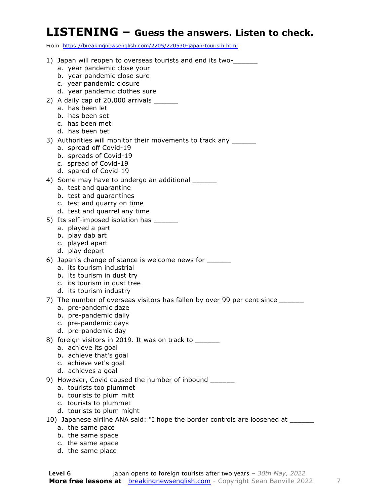#### **LISTENING – Guess the answers. Listen to check.**

From https://breakingnewsenglish.com/2205/220530-japan-tourism.html

| 1) Japan will reopen to overseas tourists and end its two-                        |
|-----------------------------------------------------------------------------------|
| a. year pandemic close your                                                       |
| b. year pandemic close sure                                                       |
| c. year pandemic closure                                                          |
| d. year pandemic clothes sure                                                     |
| 2) A daily cap of 20,000 arrivals _______                                         |
| a. has been let                                                                   |
| b. has been set                                                                   |
| c. has been met                                                                   |
| d. has been bet                                                                   |
| 3) Authorities will monitor their movements to track any ______                   |
| a. spread off Covid-19                                                            |
| b. spreads of Covid-19                                                            |
| c. spread of Covid-19                                                             |
| d. spared of Covid-19                                                             |
| 4) Some may have to undergo an additional _______                                 |
| a. test and quarantine                                                            |
| b. test and quarantines                                                           |
| c. test and quarry on time                                                        |
| d. test and quarrel any time                                                      |
| 5) Its self-imposed isolation has ______                                          |
| a. played a part                                                                  |
| b. play dab art                                                                   |
| c. played apart                                                                   |
| d. play depart                                                                    |
| 6) Japan's change of stance is welcome news for _______                           |
| a. its tourism industrial                                                         |
| b. its tourism in dust try                                                        |
| c. its tourism in dust tree                                                       |
| d. its tourism industry                                                           |
| 7) The number of overseas visitors has fallen by over 99 per cent since           |
| a. pre-pandemic daze                                                              |
| b. pre-pandemic daily                                                             |
| c. pre-pandemic days                                                              |
| d. pre-pandemic day                                                               |
| 8) foreign visitors in 2019. It was on track to ______                            |
| a. achieve its goal                                                               |
| b. achieve that's goal                                                            |
| c. achieve vet's goal                                                             |
| d. achieves a goal                                                                |
| 9) However, Covid caused the number of inbound ______                             |
| a. tourists too plummet                                                           |
| b. tourists to plum mitt                                                          |
| c. tourists to plummet                                                            |
| d. tourists to plum might                                                         |
| 10) Japanese airline ANA said: "I hope the border controls are loosened at ______ |
| a. the same pace                                                                  |
| b. the same space                                                                 |

- c. the same apace
- d. the same place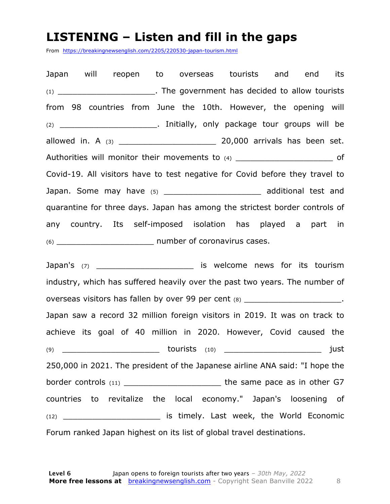#### **LISTENING – Listen and fill in the gaps**

From https://breakingnewsenglish.com/2205/220530-japan-tourism.html

Japan will reopen to overseas tourists and end its (1) \_\_\_\_\_\_\_\_\_\_\_\_\_\_\_\_\_\_\_\_. The government has decided to allow tourists from 98 countries from June the 10th. However, the opening will (2) \_\_\_\_\_\_\_\_\_\_\_\_\_\_\_\_\_\_\_\_. Initially, only package tour groups will be allowed in. A (3) \_\_\_\_\_\_\_\_\_\_\_\_\_\_\_\_\_\_\_\_ 20,000 arrivals has been set. Authorities will monitor their movements to  $(4)$   $(4)$ Covid-19. All visitors have to test negative for Covid before they travel to Japan. Some may have (5) \_\_\_\_\_\_\_\_\_\_\_\_\_\_\_\_\_\_\_\_\_\_\_\_\_\_\_\_\_\_\_\_\_ additional test and quarantine for three days. Japan has among the strictest border controls of any country. Its self-imposed isolation has played a part in (6) \_\_\_\_\_\_\_\_\_\_\_\_\_\_\_\_\_\_\_\_ number of coronavirus cases.

Japan's (7) \_\_\_\_\_\_\_\_\_\_\_\_\_\_\_\_\_\_\_\_\_\_\_\_\_\_ is welcome news for its tourism industry, which has suffered heavily over the past two years. The number of overseas visitors has fallen by over 99 per cent (8) \_\_\_\_\_\_\_\_\_\_\_\_\_\_\_\_\_\_\_\_\_\_\_\_\_. Japan saw a record 32 million foreign visitors in 2019. It was on track to achieve its goal of 40 million in 2020. However, Covid caused the (9) \_\_\_\_\_\_\_\_\_\_\_\_\_\_\_\_\_\_\_\_ tourists (10) \_\_\_\_\_\_\_\_\_\_\_\_\_\_\_\_\_\_\_\_ just 250,000 in 2021. The president of the Japanese airline ANA said: "I hope the border controls (11) \_\_\_\_\_\_\_\_\_\_\_\_\_\_\_\_\_\_\_\_ the same pace as in other G7 countries to revitalize the local economy." Japan's loosening of (12) \_\_\_\_\_\_\_\_\_\_\_\_\_\_\_\_\_\_\_\_ is timely. Last week, the World Economic Forum ranked Japan highest on its list of global travel destinations.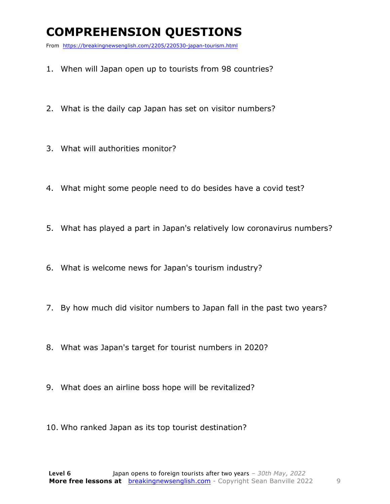### **COMPREHENSION QUESTIONS**

From https://breakingnewsenglish.com/2205/220530-japan-tourism.html

- 1. When will Japan open up to tourists from 98 countries?
- 2. What is the daily cap Japan has set on visitor numbers?
- 3. What will authorities monitor?
- 4. What might some people need to do besides have a covid test?
- 5. What has played a part in Japan's relatively low coronavirus numbers?
- 6. What is welcome news for Japan's tourism industry?
- 7. By how much did visitor numbers to Japan fall in the past two years?
- 8. What was Japan's target for tourist numbers in 2020?
- 9. What does an airline boss hope will be revitalized?
- 10. Who ranked Japan as its top tourist destination?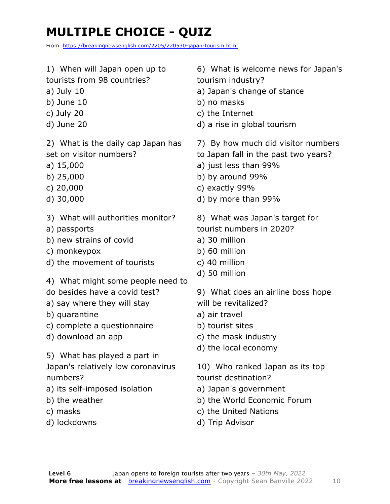### **MULTIPLE CHOICE - QUIZ**

From https://breakingnewsenglish.com/2205/220530-japan-tourism.html

- 1) When will Japan open up to
- tourists from 98 countries?
- a) July 10
- b) June 10
- c) July 20
- d) June 20

2) What is the daily cap Japan has set on visitor numbers?

- a) 15,000
- b) 25,000
- c) 20,000
- d) 30,000
- 3) What will authorities monitor?
- a) passports
- b) new strains of covid
- c) monkeypox
- d) the movement of tourists
- 4) What might some people need to
- do besides have a covid test?
- a) say where they will stay
- b) quarantine
- c) complete a questionnaire
- d) download an app
- 5) What has played a part in

Japan's relatively low coronavirus numbers?

- a) its self-imposed isolation
- b) the weather
- c) masks
- d) lockdowns

6) What is welcome news for Japan's tourism industry?

- a) Japan's change of stance
- b) no masks
- c) the Internet
- d) a rise in global tourism
- 7) By how much did visitor numbers
- to Japan fall in the past two years?
- a) just less than 99%
- b) by around 99%
- c) exactly 99%
- d) by more than 99%
- 8) What was Japan's target for tourist numbers in 2020?
- a) 30 million
- b) 60 million
- c) 40 million
- d) 50 million

9) What does an airline boss hope will be revitalized?

- a) air travel
- b) tourist sites
- c) the mask industry
- d) the local economy

10) Who ranked Japan as its top tourist destination?

- a) Japan's government
- b) the World Economic Forum
- c) the United Nations
- d) Trip Advisor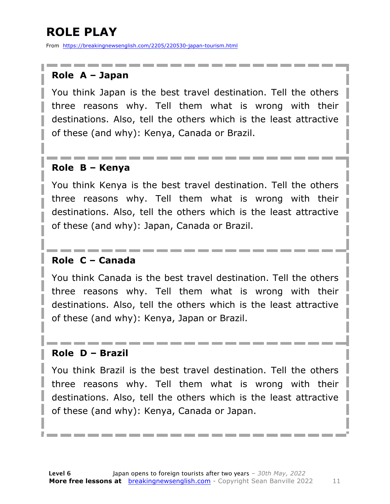### **ROLE PLAY**

From https://breakingnewsenglish.com/2205/220530-japan-tourism.html

#### **Role A – Japan**

You think Japan is the best travel destination. Tell the others three reasons why. Tell them what is wrong with their destinations. Also, tell the others which is the least attractive of these (and why): Kenya, Canada or Brazil.

#### **Role B – Kenya**

You think Kenya is the best travel destination. Tell the others three reasons why. Tell them what is wrong with their destinations. Also, tell the others which is the least attractive of these (and why): Japan, Canada or Brazil.

#### **Role C – Canada**

You think Canada is the best travel destination. Tell the others three reasons why. Tell them what is wrong with their destinations. Also, tell the others which is the least attractive of these (and why): Kenya, Japan or Brazil.

#### **Role D – Brazil**

You think Brazil is the best travel destination. Tell the others three reasons why. Tell them what is wrong with their destinations. Also, tell the others which is the least attractive of these (and why): Kenya, Canada or Japan.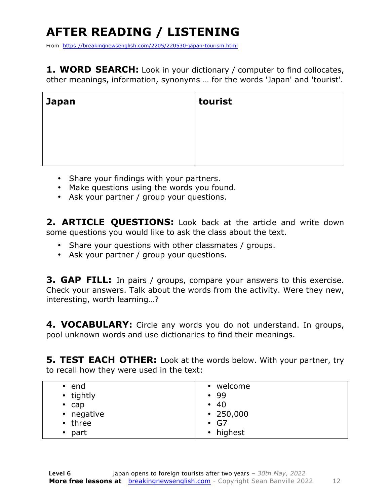## **AFTER READING / LISTENING**

From https://breakingnewsenglish.com/2205/220530-japan-tourism.html

**1. WORD SEARCH:** Look in your dictionary / computer to find collocates, other meanings, information, synonyms … for the words 'Japan' and 'tourist'.

| <b>Japan</b> | tourist |
|--------------|---------|
|              |         |
|              |         |
|              |         |

- Share your findings with your partners.
- Make questions using the words you found.
- Ask your partner / group your questions.

2. **ARTICLE OUESTIONS:** Look back at the article and write down some questions you would like to ask the class about the text.

- Share your questions with other classmates / groups.
- Ask your partner / group your questions.

**3. GAP FILL:** In pairs / groups, compare your answers to this exercise. Check your answers. Talk about the words from the activity. Were they new, interesting, worth learning…?

**4. VOCABULARY:** Circle any words you do not understand. In groups, pool unknown words and use dictionaries to find their meanings.

**5. TEST EACH OTHER:** Look at the words below. With your partner, try to recall how they were used in the text:

| end         | welcome         |
|-------------|-----------------|
| $\bullet$   | $\bullet$       |
| • tightly   | $\cdot$ 99      |
| $\cdot$ cap | $\cdot$ 40      |
| • negative  | $\cdot$ 250,000 |
| • three     | $\cdot$ G7      |
| part        | • highest       |
|             |                 |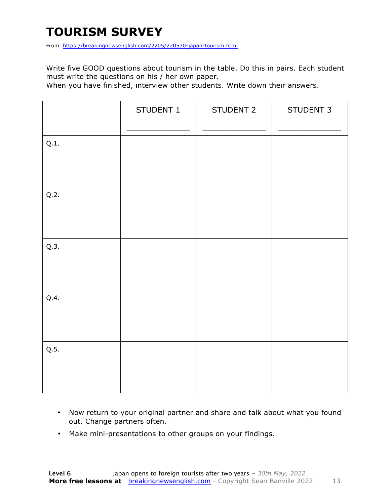### **TOURISM SURVEY**

From https://breakingnewsenglish.com/2205/220530-japan-tourism.html

Write five GOOD questions about tourism in the table. Do this in pairs. Each student must write the questions on his / her own paper.

When you have finished, interview other students. Write down their answers.

|      | STUDENT 1 | STUDENT 2 | STUDENT 3 |
|------|-----------|-----------|-----------|
| Q.1. |           |           |           |
| Q.2. |           |           |           |
| Q.3. |           |           |           |
| Q.4. |           |           |           |
| Q.5. |           |           |           |

- Now return to your original partner and share and talk about what you found out. Change partners often.
- Make mini-presentations to other groups on your findings.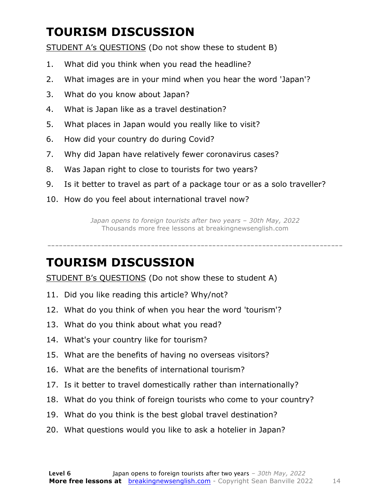### **TOURISM DISCUSSION**

STUDENT A's QUESTIONS (Do not show these to student B)

- 1. What did you think when you read the headline?
- 2. What images are in your mind when you hear the word 'Japan'?
- 3. What do you know about Japan?
- 4. What is Japan like as a travel destination?
- 5. What places in Japan would you really like to visit?
- 6. How did your country do during Covid?
- 7. Why did Japan have relatively fewer coronavirus cases?
- 8. Was Japan right to close to tourists for two years?
- 9. Is it better to travel as part of a package tour or as a solo traveller?
- 10. How do you feel about international travel now?

*Japan opens to foreign tourists after two years – 30th May, 2022* Thousands more free lessons at breakingnewsenglish.com

-----------------------------------------------------------------------------

### **TOURISM DISCUSSION**

STUDENT B's QUESTIONS (Do not show these to student A)

- 11. Did you like reading this article? Why/not?
- 12. What do you think of when you hear the word 'tourism'?
- 13. What do you think about what you read?
- 14. What's your country like for tourism?
- 15. What are the benefits of having no overseas visitors?
- 16. What are the benefits of international tourism?
- 17. Is it better to travel domestically rather than internationally?
- 18. What do you think of foreign tourists who come to your country?
- 19. What do you think is the best global travel destination?
- 20. What questions would you like to ask a hotelier in Japan?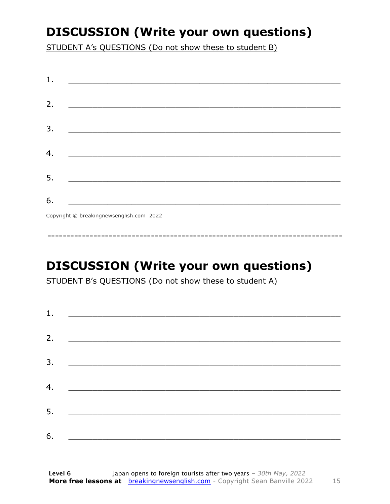### **DISCUSSION (Write your own questions)**

STUDENT A's QUESTIONS (Do not show these to student B)

| 1. |                                          |
|----|------------------------------------------|
|    |                                          |
| 2. |                                          |
|    |                                          |
| 3. |                                          |
|    |                                          |
| 4. |                                          |
|    |                                          |
| 5. |                                          |
|    |                                          |
| 6. |                                          |
|    | Copyright © breakingnewsenglish.com 2022 |

### **DISCUSSION (Write your own questions)**

STUDENT B's QUESTIONS (Do not show these to student A)

| 1. | <u> Alexandria de la contrada de la contrada de la contrada de la contrada de la contrada de la contrada de la c</u> |  |  |
|----|----------------------------------------------------------------------------------------------------------------------|--|--|
|    |                                                                                                                      |  |  |
| 2. |                                                                                                                      |  |  |
| 3. |                                                                                                                      |  |  |
|    |                                                                                                                      |  |  |
| 4. |                                                                                                                      |  |  |
| 5. |                                                                                                                      |  |  |
|    |                                                                                                                      |  |  |
| 6. |                                                                                                                      |  |  |

15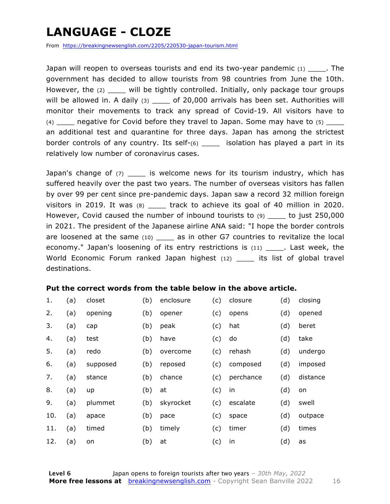### **LANGUAGE - CLOZE**

From https://breakingnewsenglish.com/2205/220530-japan-tourism.html

Japan will reopen to overseas tourists and end its two-year pandemic  $(1)$  . The government has decided to allow tourists from 98 countries from June the 10th. However, the (2) \_\_\_\_ will be tightly controlled. Initially, only package tour groups will be allowed in. A daily  $(3)$  \_\_\_\_ of 20,000 arrivals has been set. Authorities will monitor their movements to track any spread of Covid-19. All visitors have to  $(4)$  negative for Covid before they travel to Japan. Some may have to  $(5)$ an additional test and quarantine for three days. Japan has among the strictest border controls of any country. Its self-(6) \_\_\_\_\_ isolation has played a part in its relatively low number of coronavirus cases.

Japan's change of  $(7)$  \_\_\_\_\_ is welcome news for its tourism industry, which has suffered heavily over the past two years. The number of overseas visitors has fallen by over 99 per cent since pre-pandemic days. Japan saw a record 32 million foreign visitors in 2019. It was (8) \_\_\_\_\_ track to achieve its goal of 40 million in 2020. However, Covid caused the number of inbound tourists to (9) \_\_\_\_ to just 250,000 in 2021. The president of the Japanese airline ANA said: "I hope the border controls are loosened at the same (10) \_\_\_\_ as in other G7 countries to revitalize the local economy." Japan's loosening of its entry restrictions is (11) \_\_\_\_\_. Last week, the World Economic Forum ranked Japan highest (12) its list of global travel destinations.

#### **Put the correct words from the table below in the above article.**

| 1.  | (a) | closet   | (b) | enclosure | (c) | closure   | (d) | closing  |
|-----|-----|----------|-----|-----------|-----|-----------|-----|----------|
| 2.  | (a) | opening  | (b) | opener    | (c) | opens     | (d) | opened   |
| 3.  | (a) | cap      | (b) | peak      | (c) | hat       | (d) | beret    |
| 4.  | (a) | test     | (b) | have      | (c) | do        | (d) | take     |
| 5.  | (a) | redo     | (b) | overcome  | (c) | rehash    | (d) | undergo  |
| 6.  | (a) | supposed | (b) | reposed   | (c) | composed  | (d) | imposed  |
| 7.  | (a) | stance   | (b) | chance    | (c) | perchance | (d) | distance |
| 8.  | (a) | up       | (b) | at        | (c) | in        | (d) | on       |
| 9.  | (a) | plummet  | (b) | skyrocket | (c) | escalate  | (d) | swell    |
| 10. | (a) | apace    | (b) | pace      | (c) | space     | (d) | outpace  |
| 11. | (a) | timed    | (b) | timely    | (c) | timer     | (d) | times    |
| 12. | (a) | on       | (b) | at        | (c) | in        | (d) | as       |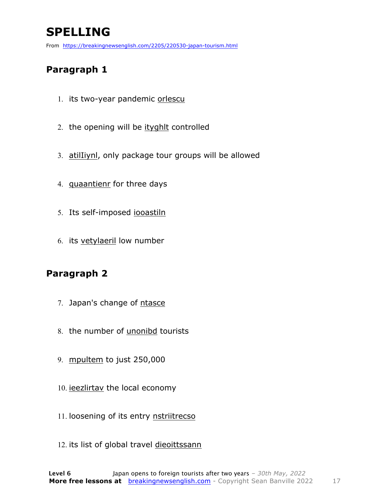### **SPELLING**

From https://breakingnewsenglish.com/2205/220530-japan-tourism.html

#### **Paragraph 1**

- 1. its two-year pandemic orlescu
- 2. the opening will be ityghlt controlled
- 3. atilIiynl, only package tour groups will be allowed
- 4. quaantienr for three days
- 5. Its self-imposed iooastiln
- 6. its vetylaeril low number

#### **Paragraph 2**

- 7. Japan's change of ntasce
- 8. the number of unonibd tourists
- 9. mpultem to just 250,000
- 10. ieezlirtav the local economy
- 11. loosening of its entry nstriitrecso
- 12. its list of global travel dieoittssann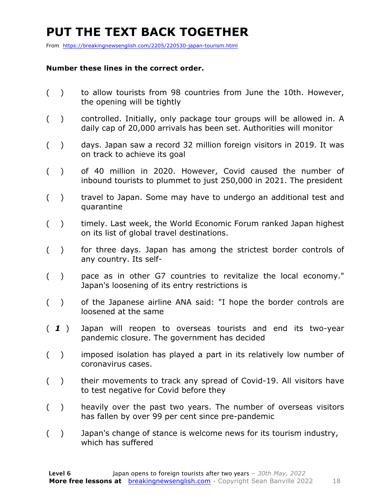### **PUT THE TEXT BACK TOGETHER**

From https://breakingnewsenglish.com/2205/220530-japan-tourism.html

#### **Number these lines in the correct order.**

- ( ) to allow tourists from 98 countries from June the 10th. However, the opening will be tightly
- ( ) controlled. Initially, only package tour groups will be allowed in. A daily cap of 20,000 arrivals has been set. Authorities will monitor
- ( ) days. Japan saw a record 32 million foreign visitors in 2019. It was on track to achieve its goal
- ( ) of 40 million in 2020. However, Covid caused the number of inbound tourists to plummet to just 250,000 in 2021. The president
- ( ) travel to Japan. Some may have to undergo an additional test and quarantine
- ( ) timely. Last week, the World Economic Forum ranked Japan highest on its list of global travel destinations.
- ( ) for three days. Japan has among the strictest border controls of any country. Its self-
- ( ) pace as in other G7 countries to revitalize the local economy." Japan's loosening of its entry restrictions is
- ( ) of the Japanese airline ANA said: "I hope the border controls are loosened at the same
- ( *1* ) Japan will reopen to overseas tourists and end its two-year pandemic closure. The government has decided
- ( ) imposed isolation has played a part in its relatively low number of coronavirus cases.
- ( ) their movements to track any spread of Covid-19. All visitors have to test negative for Covid before they
- ( ) heavily over the past two years. The number of overseas visitors has fallen by over 99 per cent since pre-pandemic
- ( ) Japan's change of stance is welcome news for its tourism industry, which has suffered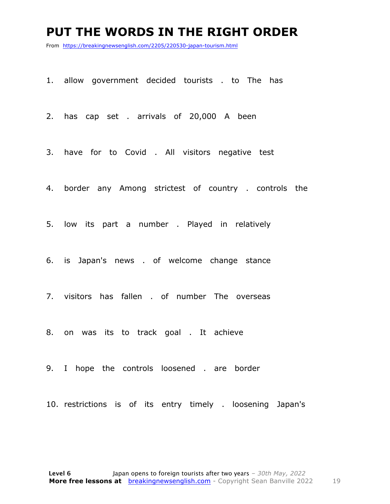#### **PUT THE WORDS IN THE RIGHT ORDER**

From https://breakingnewsenglish.com/2205/220530-japan-tourism.html

1. allow government decided tourists . to The has

2. has cap set . arrivals of 20,000 A been

3. have for to Covid . All visitors negative test

4. border any Among strictest of country . controls the

5. low its part a number . Played in relatively

6. is Japan's news . of welcome change stance

7. visitors has fallen . of number The overseas

8. on was its to track goal . It achieve

9. I hope the controls loosened . are border

10. restrictions is of its entry timely . loosening Japan's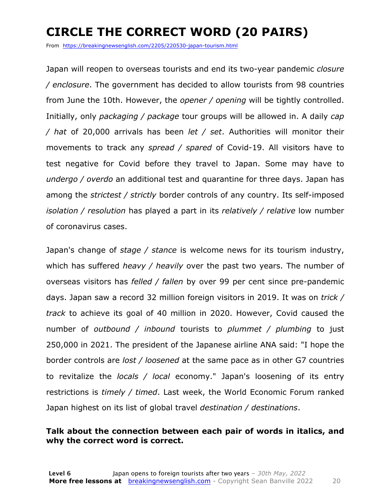### **CIRCLE THE CORRECT WORD (20 PAIRS)**

From https://breakingnewsenglish.com/2205/220530-japan-tourism.html

Japan will reopen to overseas tourists and end its two-year pandemic *closure / enclosure*. The government has decided to allow tourists from 98 countries from June the 10th. However, the *opener / opening* will be tightly controlled. Initially, only *packaging / package* tour groups will be allowed in. A daily *cap / hat* of 20,000 arrivals has been *let / set*. Authorities will monitor their movements to track any *spread / spared* of Covid-19. All visitors have to test negative for Covid before they travel to Japan. Some may have to *undergo / overdo* an additional test and quarantine for three days. Japan has among the *strictest / strictly* border controls of any country. Its self-imposed *isolation / resolution* has played a part in its *relatively / relative* low number of coronavirus cases.

Japan's change of *stage / stance* is welcome news for its tourism industry, which has suffered *heavy / heavily* over the past two years. The number of overseas visitors has *felled / fallen* by over 99 per cent since pre-pandemic days. Japan saw a record 32 million foreign visitors in 2019. It was on *trick / track* to achieve its goal of 40 million in 2020. However, Covid caused the number of *outbound / inbound* tourists to *plummet / plumbing* to just 250,000 in 2021. The president of the Japanese airline ANA said: "I hope the border controls are *lost / loosened* at the same pace as in other G7 countries to revitalize the *locals / local* economy." Japan's loosening of its entry restrictions is *timely / timed*. Last week, the World Economic Forum ranked Japan highest on its list of global travel *destination / destinations*.

#### **Talk about the connection between each pair of words in italics, and why the correct word is correct.**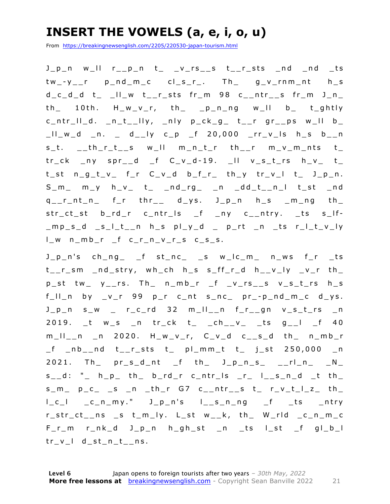### **INSERT THE VOWELS (a, e, i, o, u)**

From https://breakingnewsenglish.com/2205/220530-japan-tourism.html

J\_p\_n w\_ll r\_\_p\_n t\_ \_v\_rs\_\_s t\_\_r\_sts \_nd \_nd \_ts tw\_ - y\_\_r p\_nd\_m\_c cl\_s\_r\_. Th\_ g\_v\_rnm\_nt h\_s  $d_c_d_d$  t\_ \_II\_w t\_\_r\_sts fr\_m 98 c\_\_ntr\_\_s fr\_m J\_n\_ th\_ 10th. H\_w\_v\_r, th\_ \_p\_n\_ng w\_ll b\_ t\_ghtly  $c_n$ ntr\_II\_d. \_n\_t\_\_IIy, \_nly p\_ck\_g\_ t\_\_r gr\_\_ps w\_II b\_  $\lfloor l \rfloor$  w\_d \_n. \_ d\_\_ly c\_p \_f 20,000 \_rr\_v\_ls h\_s b\_\_n  $s_t$ .  $-th_r$ ,  $t$  s will m\_n\_t\_r th\_\_r m\_v\_m\_nts t\_  $tr_c k$  ny spr\_d f  $C_v_d - 19$ . Il  $v_s_t$ rs  $h_v$  t  $t_st$   $n_g_t_v_v$   $f_r$   $c_v_d$   $b_f_r$   $th_y$   $tr_v_l$   $t_j$   $t_j$   $j_p$ .  $S_m$  m\_y h\_v\_ t\_ \_nd\_rg\_ \_n \_dd\_t\_\_n\_l t\_st \_nd  $q_{-}$ r\_nt\_n\_ f\_r thr\_\_ d\_ys. J\_p\_n h\_s \_m\_ng th\_ str\_ct\_st b\_rd\_r c\_ntr\_ls \_f \_ny c\_\_ntry. \_ts s\_lf- $\text{mod}$  slt\_n h\_s pl\_y\_d \_ p\_rt \_n \_ts r\_l\_t\_v\_ly  $l_w$  n\_mb\_r \_f c\_r\_n\_v\_r\_s c\_s\_s.

J\_p\_n's ch\_ng\_ \_f st\_nc\_ \_s w\_lc\_m\_ n\_ws f\_r \_ts t\_\_r\_sm \_nd\_stry, wh\_ch h\_s s\_ff\_r\_d h\_\_v\_ly \_v\_r th\_  $p_{s}$ st tw\_  $y_{s-1}$ rs. Th\_  $n_{s}$ mb\_r  $f_{s}$   $y_{s-1}$ s  $y_{s-1}$   $y_{s-1}$   $y_{s-1}$   $y_{s-1}$  $f_l = \lceil \ln \frac{b}{v} \rceil - \lceil \frac{g}{v} \rceil - \lceil \frac{g}{v} \rceil - \lceil \frac{g}{v} \rceil - \lceil \frac{g}{v} \rceil - \lceil \frac{g}{v} \rceil - \lceil \frac{g}{v} \rceil - \lceil \frac{g}{v} \rceil - \lceil \frac{g}{v} \rceil - \lceil \frac{g}{v} \rceil - \lceil \frac{g}{v} \rceil - \lceil \frac{g}{v} \rceil - \lceil \frac{g}{v} \rceil - \lceil \frac{g}{v} \rceil - \lceil \frac{g}{v} \rceil - \lceil \frac$ J\_p\_n s\_w \_ r\_c\_rd 32 m\_ll\_\_n f\_r\_\_gn v\_s\_t\_rs \_n 2019. \_t w\_s \_n tr\_ck t\_ \_ch\_\_v\_ \_ts g\_\_l \_f 40 m\_ll\_\_n \_n 2020. H\_w\_v\_r, C\_v\_d c\_\_s\_d th\_ n\_mb\_r \_f \_nb\_\_nd t\_\_r\_sts t\_ pl\_mm\_t t\_ j\_st 250,000 \_n  $2021.$  Th\_  $pr\_s_d$ nt  $_f$  th\_  $J\_p\_n\_s$ \_  $_{-1}rl\_n$ \_  $_{-}N\_$  $s_d$ : " $\mu$  h<sub>p</sub> th b\_rd\_r c\_ntr\_ls \_r\_ l\_s\_n\_d \_t th  $s_m$   $p_c$   $s_n$   $n$   $th$ r  $G7$   $c_{n}$  $ntr$   $s$   $t$   $r_v$  $t$  $t$  $t$  $t$  $t$ l\_c\_l \_c\_n\_my." J\_p\_n's l\_\_s\_n\_ng \_f \_ts \_ntry r\_str\_ct\_\_ns \_s t\_m\_ly. L\_st w\_\_k, th\_ W\_rld \_c\_n\_m\_c  $F_r$ \_m  $r_n$ k\_d J\_p\_n  $h_g$ h\_st \_n \_ts l\_st \_f gl\_b\_l tr\_v\_l d\_st\_n\_t\_ns.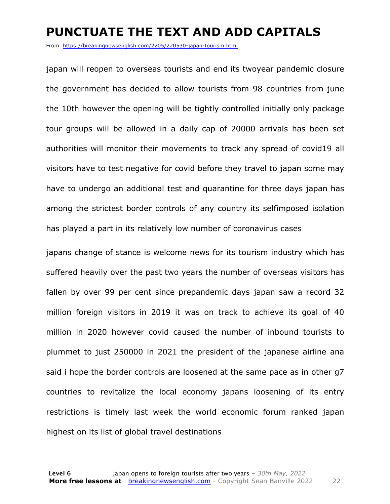#### **PUNCTUATE THE TEXT AND ADD CAPITALS**

From https://breakingnewsenglish.com/2205/220530-japan-tourism.html

japan will reopen to overseas tourists and end its twoyear pandemic closure the government has decided to allow tourists from 98 countries from june the 10th however the opening will be tightly controlled initially only package tour groups will be allowed in a daily cap of 20000 arrivals has been set authorities will monitor their movements to track any spread of covid19 all visitors have to test negative for covid before they travel to japan some may have to undergo an additional test and quarantine for three days japan has among the strictest border controls of any country its selfimposed isolation has played a part in its relatively low number of coronavirus cases

japans change of stance is welcome news for its tourism industry which has suffered heavily over the past two years the number of overseas visitors has fallen by over 99 per cent since prepandemic days japan saw a record 32 million foreign visitors in 2019 it was on track to achieve its goal of 40 million in 2020 however covid caused the number of inbound tourists to plummet to just 250000 in 2021 the president of the japanese airline ana said i hope the border controls are loosened at the same pace as in other g7 countries to revitalize the local economy japans loosening of its entry restrictions is timely last week the world economic forum ranked japan highest on its list of global travel destinations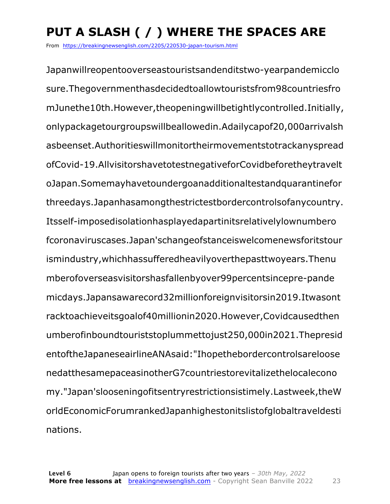## **PUT A SLASH ( / ) WHERE THE SPACES ARE**

From https://breakingnewsenglish.com/2205/220530-japan-tourism.html

Japanwillreopentooverseastouristsandenditstwo-yearpandemicclo sure.Thegovernmenthasdecidedtoallowtouristsfrom98countriesfro mJunethe10th.However,theopeningwillbetightlycontrolled.Initially, onlypackagetourgroupswillbeallowedin.Adailycapof20,000arrivalsh asbeenset.Authoritieswillmonitortheirmovementstotrackanyspread ofCovid-19.AllvisitorshavetotestnegativeforCovidbeforetheytravelt oJapan.Somemayhavetoundergoanadditionaltestandquarantinefor threedays.Japanhasamongthestrictestbordercontrolsofanycountry. Itsself-imposedisolationhasplayedapartinitsrelativelylownumbero fcoronaviruscases.Japan'schangeofstanceiswelcomenewsforitstour ismindustry,whichhassufferedheavilyoverthepasttwoyears.Thenu mberofoverseasvisitorshasfallenbyover99percentsincepre-pande micdays.Japansawarecord32millionforeignvisitorsin2019.Itwasont racktoachieveitsgoalof40millionin2020.However,Covidcausedthen umberofinboundtouriststoplummettojust250,000in2021.Thepresid entoftheJapaneseairlineANAsaid:"Ihopethebordercontrolsareloose nedatthesamepaceasinotherG7countriestorevitalizethelocalecono my."Japan'slooseningofitsentryrestrictionsistimely.Lastweek,theW orldEconomicForumrankedJapanhighestonitslistofglobaltraveldesti nations.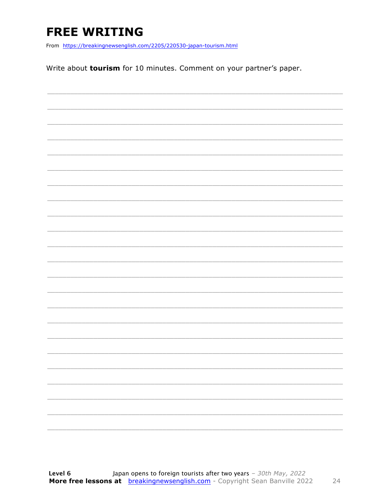### **FREE WRITING**

From https://breakingnewsenglish.com/2205/220530-japan-tourism.html

Write about tourism for 10 minutes. Comment on your partner's paper.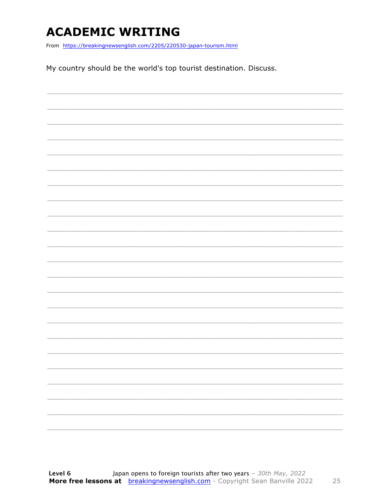### **ACADEMIC WRITING**

From https://breakingnewsenglish.com/2205/220530-japan-tourism.html

My country should be the world's top tourist destination. Discuss.

25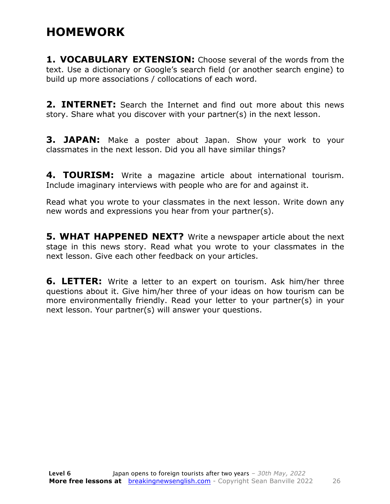### **HOMEWORK**

**1. VOCABULARY EXTENSION:** Choose several of the words from the text. Use a dictionary or Google's search field (or another search engine) to build up more associations / collocations of each word.

**2. INTERNET:** Search the Internet and find out more about this news story. Share what you discover with your partner(s) in the next lesson.

**3. JAPAN:** Make a poster about Japan. Show your work to your classmates in the next lesson. Did you all have similar things?

**4. TOURISM:** Write a magazine article about international tourism. Include imaginary interviews with people who are for and against it.

Read what you wrote to your classmates in the next lesson. Write down any new words and expressions you hear from your partner(s).

**5. WHAT HAPPENED NEXT?** Write a newspaper article about the next stage in this news story. Read what you wrote to your classmates in the next lesson. Give each other feedback on your articles.

**6. LETTER:** Write a letter to an expert on tourism. Ask him/her three questions about it. Give him/her three of your ideas on how tourism can be more environmentally friendly. Read your letter to your partner(s) in your next lesson. Your partner(s) will answer your questions.